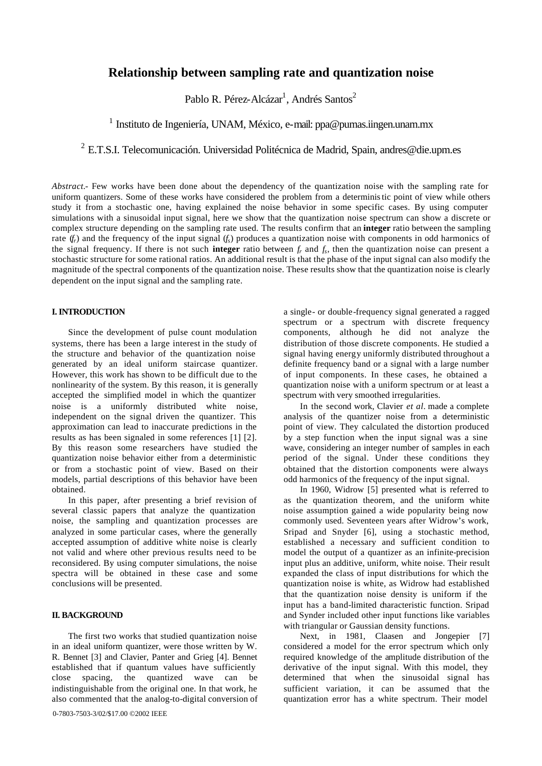# **Relationship between sampling rate and quantization noise**

Pablo R. Pérez-Alcázar<sup>1</sup>, Andrés Santos<sup>2</sup>

<sup>1</sup> Instituto de Ingeniería, UNAM, México, e-mail: ppa@pumas.iingen.unam.mx

<sup>2</sup> E.T.S.I. Telecomunicación. Universidad Politécnica de Madrid, Spain, andres@die.upm.es

*Abstract.-* Few works have been done about the dependency of the quantization noise with the sampling rate for uniform quantizers. Some of these works have considered the problem from a deterministic point of view while others study it from a stochastic one, having explained the noise behavior in some specific cases. By using computer simulations with a sinusoidal input signal, here we show that the quantization noise spectrum can show a discrete or complex structure depending on the sampling rate used. The results confirm that an **integer** ratio between the sampling rate  $(f_r)$  and the frequency of the input signal  $(f_s)$  produces a quantization noise with components in odd harmonics of the signal frequency. If there is not such **integer** ratio between  $f_r$  and  $f_s$ , then the quantization noise can present a stochastic structure for some rational ratios. An additional result is that the phase of the input signal can also modify the magnitude of the spectral components of the quantization noise. These results show that the quantization noise is clearly dependent on the input signal and the sampling rate.

# **I. INTRODUCTION**

Since the development of pulse count modulation systems, there has been a large interest in the study of the structure and behavior of the quantization noise generated by an ideal uniform staircase quantizer. However, this work has shown to be difficult due to the nonlinearity of the system. By this reason, it is generally accepted the simplified model in which the quantizer noise is a uniformly distributed white noise, independent on the signal driven the quantizer. This approximation can lead to inaccurate predictions in the results as has been signaled in some references [1] [2]. By this reason some researchers have studied the quantization noise behavior either from a deterministic or from a stochastic point of view. Based on their models, partial descriptions of this behavior have been obtained.

In this paper, after presenting a brief revision of several classic papers that analyze the quantization noise, the sampling and quantization processes are analyzed in some particular cases, where the generally accepted assumption of additive white noise is clearly not valid and where other previous results need to be reconsidered. By using computer simulations, the noise spectra will be obtained in these case and some conclusions will be presented.

# **II. BACKGROUND**

The first two works that studied quantization noise in an ideal uniform quantizer, were those written by W. R. Bennet [3] and Clavier, Panter and Grieg [4]. Bennet established that if quantum values have sufficiently close spacing, the quantized wave can be indistinguishable from the original one. In that work, he also commented that the analog-to-digital conversion of a single- or double-frequency signal generated a ragged spectrum or a spectrum with discrete frequency components, although he did not analyze the distribution of those discrete components. He studied a signal having energy uniformly distributed throughout a definite frequency band or a signal with a large number of input components. In these cases, he obtained a quantization noise with a uniform spectrum or at least a spectrum with very smoothed irregularities.

In the second work, Clavier *et al.* made a complete analysis of the quantizer noise from a deterministic point of view. They calculated the distortion produced by a step function when the input signal was a sine wave, considering an integer number of samples in each period of the signal. Under these conditions they obtained that the distortion components were always odd harmonics of the frequency of the input signal.

In 1960, Widrow [5] presented what is referred to as the quantization theorem, and the uniform white noise assumption gained a wide popularity being now commonly used. Seventeen years after Widrow's work, Sripad and Snyder [6], using a stochastic method, established a necessary and sufficient condition to model the output of a quantizer as an infinite-precision input plus an additive, uniform, white noise. Their result expanded the class of input distributions for which the quantization noise is white, as Widrow had established that the quantization noise density is uniform if the input has a band-limited characteristic function. Sripad and Synder included other input functions like variables with triangular or Gaussian density functions.

Next, in 1981, Claasen and Jongepier [7] considered a model for the error spectrum which only required knowledge of the amplitude distribution of the derivative of the input signal. With this model, they determined that when the sinusoidal signal has sufficient variation, it can be assumed that the quantization error has a white spectrum. Their model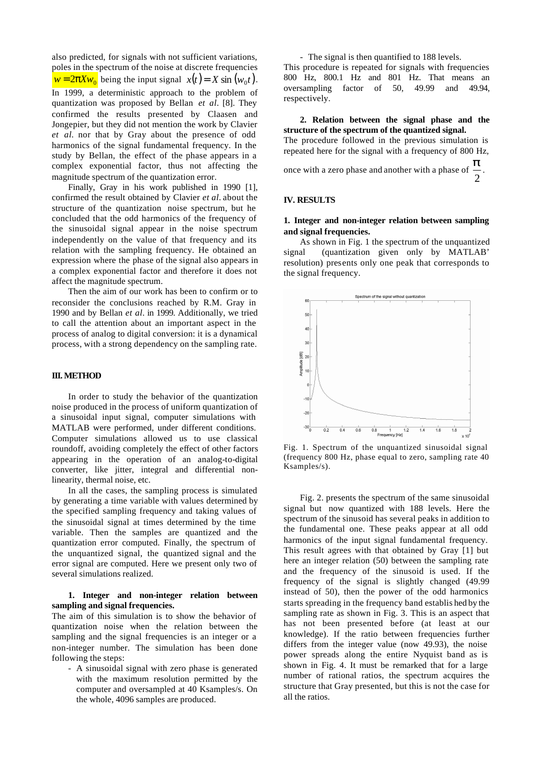also predicted, for signals with not sufficient variations, poles in the spectrum of the noise at discrete frequencies  $w = 2pXw_0$  being the input signal  $x(t) = X \sin(w_0 t)$ . In 1999, a deterministic approach to the problem of quantization was proposed by Bellan *et al.* [8]. They confirmed the results presented by Claasen and Jongepier, but they did not mention the work by Clavier *et al.* nor that by Gray about the presence of odd harmonics of the signal fundamental frequency. In the study by Bellan, the effect of the phase appears in a complex exponential factor, thus not affecting the magnitude spectrum of the quantization error.

Finally, Gray in his work published in 1990 [1], confirmed the result obtained by Clavier *et al.* about the structure of the quantization noise spectrum, but he concluded that the odd harmonics of the frequency of the sinusoidal signal appear in the noise spectrum independently on the value of that frequency and its relation with the sampling frequency. He obtained an expression where the phase of the signal also appears in a complex exponential factor and therefore it does not affect the magnitude spectrum.

Then the aim of our work has been to confirm or to reconsider the conclusions reached by R.M. Gray in 1990 and by Bellan *et al.* in 1999. Additionally, we tried to call the attention about an important aspect in the process of analog to digital conversion: it is a dynamical process, with a strong dependency on the sampling rate.

## **III. METHOD**

In order to study the behavior of the quantization noise produced in the process of uniform quantization of a sinusoidal input signal, computer simulations with MATLAB were performed, under different conditions. Computer simulations allowed us to use classical roundoff, avoiding completely the effect of other factors appearing in the operation of an analog-to-digital converter, like jitter, integral and differential nonlinearity, thermal noise, etc.

In all the cases, the sampling process is simulated by generating a time variable with values determined by the specified sampling frequency and taking values of the sinusoidal signal at times determined by the time variable. Then the samples are quantized and the quantization error computed. Finally, the spectrum of the unquantized signal, the quantized signal and the error signal are computed. Here we present only two of several simulations realized.

# **1. Integer and non-integer relation between sampling and signal frequencies.**

The aim of this simulation is to show the behavior of quantization noise when the relation between the sampling and the signal frequencies is an integer or a non-integer number. The simulation has been done following the steps:

- A sinusoidal signal with zero phase is generated with the maximum resolution permitted by the computer and oversampled at 40 Ksamples/s. On the whole, 4096 samples are produced.

- The signal is then quantified to 188 levels.

This procedure is repeated for signals with frequencies 800 Hz, 800.1 Hz and 801 Hz. That means an oversampling factor of 50, 49.99 and 49.94, respectively.

# **2. Relation between the signal phase and the structure of the spectrum of the quantized signal.**

The procedure followed in the previous simulation is repeated here for the signal with a frequency of 800 Hz,

once with a zero phase and another with a phase of 
$$
\frac{p}{2}
$$
.

#### **IV. RESULTS**

## **1. Integer and non-integer relation between sampling and signal frequencies.**

As shown in Fig. 1 the spectrum of the unquantized signal (quantization given only by MATLAB' resolution) presents only one peak that corresponds to the signal frequency.



Fig. 1. Spectrum of the unquantized sinusoidal signal (frequency 800 Hz, phase equal to zero, sampling rate 40 Ksamples/s).

Fig. 2. presents the spectrum of the same sinusoidal signal but now quantized with 188 levels. Here the spectrum of the sinusoid has several peaks in addition to the fundamental one. These peaks appear at all odd harmonics of the input signal fundamental frequency. This result agrees with that obtained by Gray [1] but here an integer relation (50) between the sampling rate and the frequency of the sinusoid is used. If the frequency of the signal is slightly changed (49.99 instead of 50), then the power of the odd harmonics starts spreading in the frequency band establis hed by the sampling rate as shown in Fig. 3. This is an aspect that has not been presented before (at least at our knowledge). If the ratio between frequencies further differs from the integer value (now 49.93), the noise power spreads along the entire Nyquist band as is shown in Fig. 4. It must be remarked that for a large number of rational ratios, the spectrum acquires the structure that Gray presented, but this is not the case for all the ratios.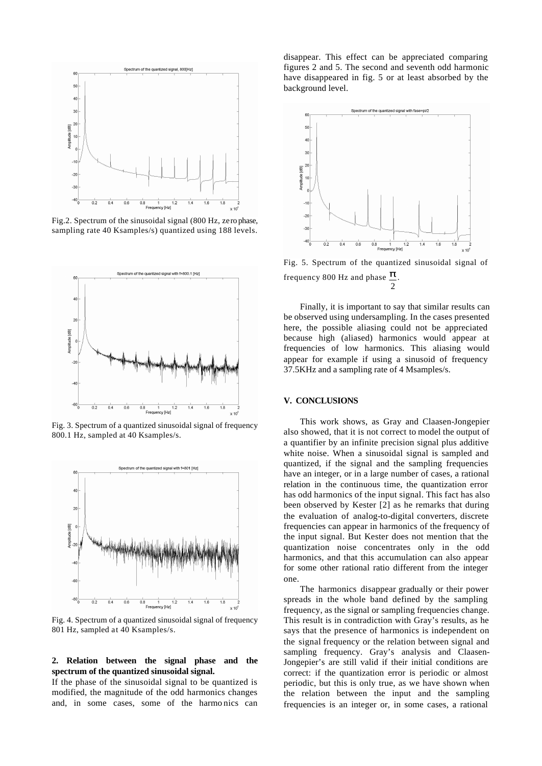

Fig.2. Spectrum of the sinusoidal signal (800 Hz, zero phase, sampling rate 40 Ksamples/s) quantized using 188 levels.



Fig. 3. Spectrum of a quantized sinusoidal signal of frequency 800.1 Hz, sampled at 40 Ksamples/s.



Fig. 4. Spectrum of a quantized sinusoidal signal of frequency 801 Hz, sampled at 40 Ksamples/s.

#### **2. Relation between the signal phase and the spectrum of the quantized sinusoidal signal.**

If the phase of the sinusoidal signal to be quantized is modified, the magnitude of the odd harmonics changes and, in some cases, some of the harmo nics can

disappear. This effect can be appreciated comparing figures 2 and 5. The second and seventh odd harmonic have disappeared in fig. 5 or at least absorbed by the background level.



Fig. 5. Spectrum of the quantized sinusoidal signal of frequency 800 Hz and phase  $\mathbf{P}$ . 2

Finally, it is important to say that similar results can be observed using undersampling. In the cases presented here, the possible aliasing could not be appreciated because high (aliased) harmonics would appear at frequencies of low harmonics. This aliasing would appear for example if using a sinusoid of frequency 37.5KHz and a sampling rate of 4 Msamples/s.

#### **V. CONCLUSIONS**

This work shows, as Gray and Claasen-Jongepier also showed, that it is not correct to model the output of a quantifier by an infinite precision signal plus additive white noise. When a sinusoidal signal is sampled and quantized, if the signal and the sampling frequencies have an integer, or in a large number of cases, a rational relation in the continuous time, the quantization error has odd harmonics of the input signal. This fact has also been observed by Kester [2] as he remarks that during the evaluation of analog-to-digital converters, discrete frequencies can appear in harmonics of the frequency of the input signal. But Kester does not mention that the quantization noise concentrates only in the odd harmonics, and that this accumulation can also appear for some other rational ratio different from the integer one.

The harmonics disappear gradually or their power spreads in the whole band defined by the sampling frequency, as the signal or sampling frequencies change. This result is in contradiction with Gray's results, as he says that the presence of harmonics is independent on the signal frequency or the relation between signal and sampling frequency. Gray's analysis and Claasen-Jongepier's are still valid if their initial conditions are correct: if the quantization error is periodic or almost periodic, but this is only true, as we have shown when the relation between the input and the sampling frequencies is an integer or, in some cases, a rational